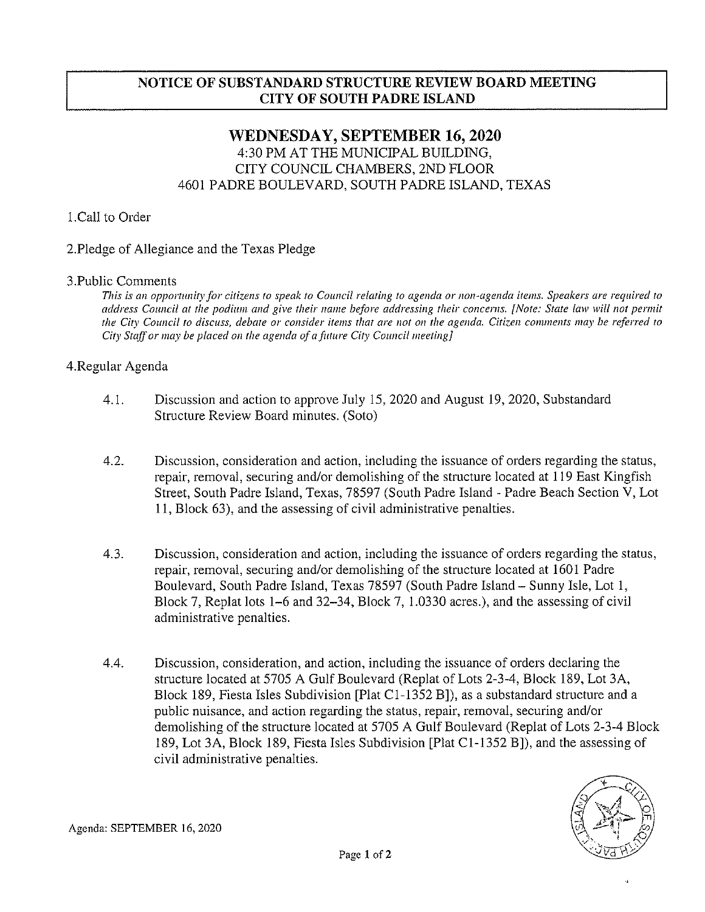### NOTICE OF SUBSTANDARD STRUCTURE REVIEW BOARD MEETING CITY OF SOUTH PADRE ISLAND

## WEDNESDAY, SEPTEMBER 16, 2020 4:30 PM AT THE MUNICiPAL BUILDING, CITY COUNCIL CHAMBERS, 2ND FLOOR 4601 PADRE BOULEVARD, SOUTH PADRE ISLAND, TEXAS

### 1.Call to Order

### 2.Pledge of Allegiance and the Texas Pledge

#### 3.Public Comments

This is an opportunity for citizens to speak to Council relating to agenda or non-agenda items. Speakers are required to address Council at the podium and give their name before addressing their concerns. [Note: State law will not permit the City Council to discuss, debate or consider items that are not on the agenda. Citizen comments may be referred to City Staff or may be placed on the agenda of a future City Council meeting]

### 4.Regular Agenda

- 4.1. Discussion and action to approve July 15, 2020 and August 19, 2020, Substandard Structure Review Board minutes. (Soto)
- 4.2. Discussion, consideration and action, including the issuance of orders regarding the status, repair, removal, securing and/or demolishing of the structure located at 119 East Kingfish Street, South Padre Island, Texas, 78597 (South Padre Island - Padre Beach Section V, Lot 11, Block 63), and the assessing of civil administrative penalties.
- 4.3. Discussion, consideration and action, including the issuance of orders regarding the status, repair, removal, securing and/or demolishing of the structure located at 1601 Padre Boulevard, South Padre Island, Texas 78597 (South Padre Island — Sunny Isle, Lot 1, Block 7, Replat lots 1—6 and 32—34, Block 7, 1.0330 acres.), and the assessing of civil administrative penalties.
- 4.4. Discussion, consideration, and action, including the issuance of orders declaring the structure located at 5705 A Gulf Boulevard (Replat of Lots 2-3-4, Block 189, Lot 3A, Block 189, Fiesta Isles Subdivision [Plat Cl-1352 B]), as <sup>a</sup> substandard structure and a public nuisance, and action regarding the status, repair, removal, securing and/or demolishing of the structure located at 5705 A Gulf Boulevard (Replat of Lots 2-3-4 Block 189, Lot 3A, Block 189, Fiesta Isles Subdivision [Plat C1-1352 B]), and the assessing of civil administrative penalties.

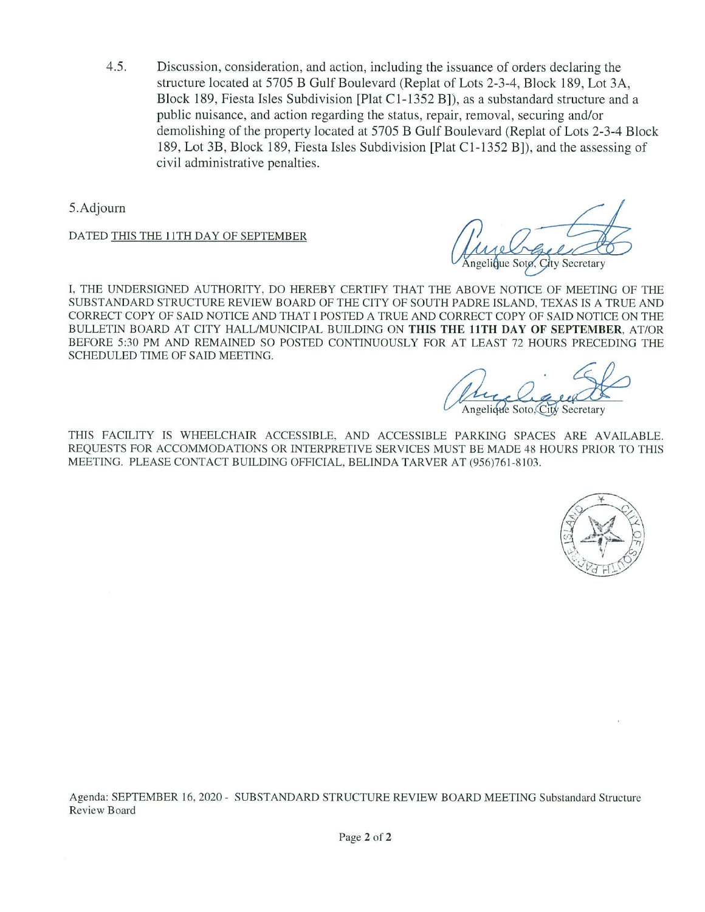$4.5.$ Discussion, consideration, and action, including the issuance of orders declaring the structure located at 5705 B Gulf Boulevard (Replat of Lots 2-3-4, Block 189, Lot 3A, Block 189, Fiesta Isles Subdivision [Plat C1-1352 B]), as <sup>a</sup> substandard structure and <sup>a</sup> public nuisance, and action regarding the status, repair, removal, securing and/or demolishing of the property located at 5705 B Gulf Boulevard (Replat of Lots 2-3-4 Block 189, Lot 3B, Block 189, Fiesta Isles Subdivision [Plat C 1-1352 B]), and the assessing of civil administrative penalties.

5.Adjourn

DATED THIS THE 11TH DAY OF SEPTEMBER

 $\ell$ que Sotø. City Secretary

I. THE UNDERSIGNED AUTHORITY, DO HEREBY CERTIFY THAT THE ABOVE NOTICE OF MEETING OF THE SUBSTANDARD STRUCTURE REVIEW BOARD OF THE CITY OF SOUTH PADRE ISLAND, TEXAS IS A TRUE AND CORRECT COPY OF SAID NOTICE AND THAT <sup>I</sup> POSTED A TRUE AND CORRECT COPY OF SAID NOTICE ON THE BULLETIN BOARD AT CITY HALL/MUNICIPAL BUILDING ON THIS THE 11TH DAY OF SEPTEMBER, AT/OR BEFORE 5:30 PM AND REMAINED SO POSTED CONTINUOUSLY FOR AT LEAST 72 HOURS PRECEDING THE SCHEDULED TIME OF SAID MEETING

Rugger ngelicule Soto.City Secretary

THIS FACILITY IS WHEELCHAIR ACCESSIBLE. AND ACCESSIBLE PARKING SPACES ARE AVAILABLE. REQUESTS FOR ACCOMMODATIONS OR INTERPRETIVE SERVICES MUST BE MADE 48 HOURS PRIOR TO THIS MEETING. PLEASE CONTACT BUILDING OFFICIAL, BELINDA TARVER AT (956)761-8103.

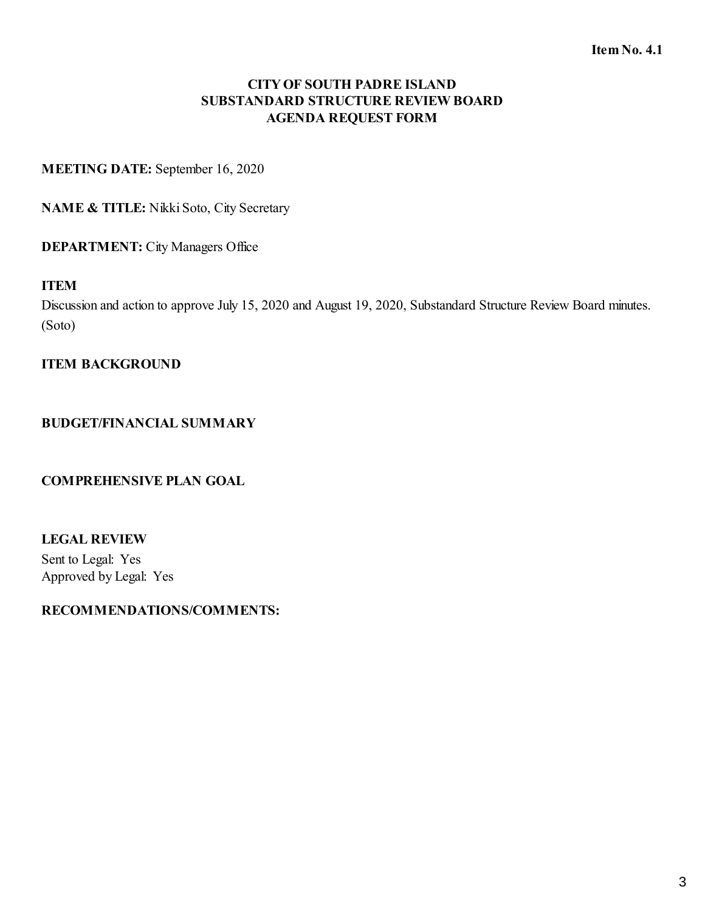**MEETING DATE:** September 16, 2020

**NAME & TITLE:** Nikki Soto, City Secretary

**DEPARTMENT:** City Managers Office

### **ITEM**

Discussion and action to approve July 15, 2020 and August 19, 2020, Substandard Structure Review Board minutes. (Soto)

### **ITEM BACKGROUND**

### **BUDGET/FINANCIAL SUMMARY**

### **COMPREHENSIVE PLAN GOAL**

# **LEGAL REVIEW**

Sent to Legal: Yes Approved by Legal: Yes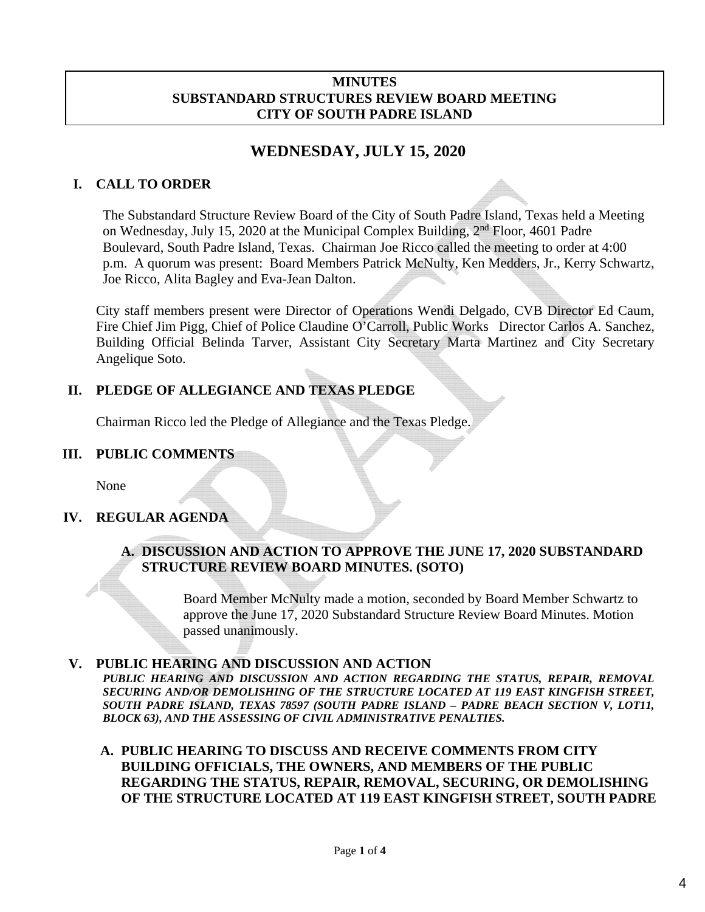#### **MINUTES SUBSTANDARD STRUCTURES REVIEW BOARD MEETING CITY OF SOUTH PADRE ISLAND**

# **WEDNESDAY, JULY 15, 2020**

# **I. CALL TO ORDER**

The Substandard Structure Review Board of the City of South Padre Island, Texas held a Meeting on Wednesday, July 15, 2020 at the Municipal Complex Building, 2nd Floor, 4601 Padre Boulevard, South Padre Island, Texas. Chairman Joe Ricco called the meeting to order at 4:00 p.m. A quorum was present: Board Members Patrick McNulty, Ken Medders, Jr., Kerry Schwartz, Joe Ricco, Alita Bagley and Eva-Jean Dalton.

City staff members present were Director of Operations Wendi Delgado, CVB Director Ed Caum, Fire Chief Jim Pigg, Chief of Police Claudine O'Carroll, Public Works Director Carlos A. Sanchez, Building Official Belinda Tarver, Assistant City Secretary Marta Martinez and City Secretary Angelique Soto.

# **II. PLEDGE OF ALLEGIANCE AND TEXAS PLEDGE**

Chairman Ricco led the Pledge of Allegiance and the Texas Pledge.

## **III. PUBLIC COMMENTS**

None

# **IV. REGULAR AGENDA**

## **A. DISCUSSION AND ACTION TO APPROVE THE JUNE 17, 2020 SUBSTANDARD STRUCTURE REVIEW BOARD MINUTES. (SOTO)**

Board Member McNulty made a motion, seconded by Board Member Schwartz to approve the June 17, 2020 Substandard Structure Review Board Minutes. Motion passed unanimously.

### **V. PUBLIC HEARING AND DISCUSSION AND ACTION**

*PUBLIC HEARING AND DISCUSSION AND ACTION REGARDING THE STATUS, REPAIR, REMOVAL SECURING AND/OR DEMOLISHING OF THE STRUCTURE LOCATED AT 119 EAST KINGFISH STREET, SOUTH PADRE ISLAND, TEXAS 78597 (SOUTH PADRE ISLAND – PADRE BEACH SECTION V, LOT11, BLOCK 63), AND THE ASSESSING OF CIVIL ADMINISTRATIVE PENALTIES.*

### **A. PUBLIC HEARING TO DISCUSS AND RECEIVE COMMENTS FROM CITY BUILDING OFFICIALS, THE OWNERS, AND MEMBERS OF THE PUBLIC REGARDING THE STATUS, REPAIR, REMOVAL, SECURING, OR DEMOLISHING OF THE STRUCTURE LOCATED AT 119 EAST KINGFISH STREET, SOUTH PADRE**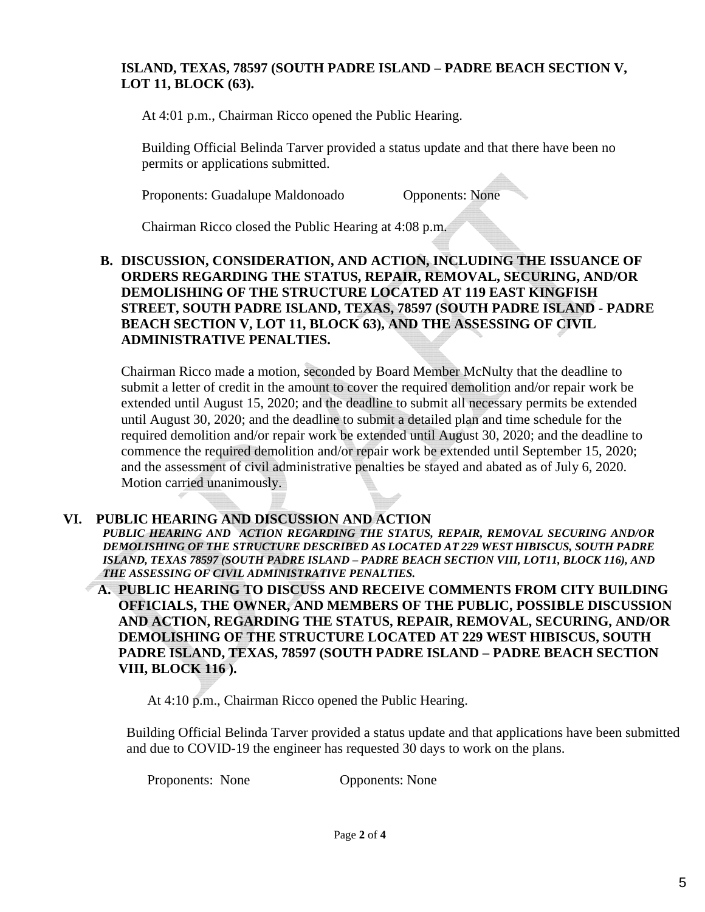## **ISLAND, TEXAS, 78597 (SOUTH PADRE ISLAND – PADRE BEACH SECTION V, LOT 11, BLOCK (63).**

At 4:01 p.m., Chairman Ricco opened the Public Hearing.

Building Official Belinda Tarver provided a status update and that there have been no permits or applications submitted.

Proponents: Guadalupe Maldonoado Opponents: None

Chairman Ricco closed the Public Hearing at 4:08 p.m.

### **B. DISCUSSION, CONSIDERATION, AND ACTION, INCLUDING THE ISSUANCE OF ORDERS REGARDING THE STATUS, REPAIR, REMOVAL, SECURING, AND/OR DEMOLISHING OF THE STRUCTURE LOCATED AT 119 EAST KINGFISH STREET, SOUTH PADRE ISLAND, TEXAS, 78597 (SOUTH PADRE ISLAND - PADRE BEACH SECTION V, LOT 11, BLOCK 63), AND THE ASSESSING OF CIVIL ADMINISTRATIVE PENALTIES.**

Chairman Ricco made a motion, seconded by Board Member McNulty that the deadline to submit a letter of credit in the amount to cover the required demolition and/or repair work be extended until August 15, 2020; and the deadline to submit all necessary permits be extended until August 30, 2020; and the deadline to submit a detailed plan and time schedule for the required demolition and/or repair work be extended until August 30, 2020; and the deadline to commence the required demolition and/or repair work be extended until September 15, 2020; and the assessment of civil administrative penalties be stayed and abated as of July 6, 2020. Motion carried unanimously.

### **VI. PUBLIC HEARING AND DISCUSSION AND ACTION**

*PUBLIC HEARING AND ACTION REGARDING THE STATUS, REPAIR, REMOVAL SECURING AND/OR DEMOLISHING OF THE STRUCTURE DESCRIBED AS LOCATED AT 229 WEST HIBISCUS, SOUTH PADRE ISLAND, TEXAS 78597 (SOUTH PADRE ISLAND – PADRE BEACH SECTION VIII, LOT11, BLOCK 116), AND THE ASSESSING OF CIVIL ADMINISTRATIVE PENALTIES.* 

**A. PUBLIC HEARING TO DISCUSS AND RECEIVE COMMENTS FROM CITY BUILDING OFFICIALS, THE OWNER, AND MEMBERS OF THE PUBLIC, POSSIBLE DISCUSSION AND ACTION, REGARDING THE STATUS, REPAIR, REMOVAL, SECURING, AND/OR DEMOLISHING OF THE STRUCTURE LOCATED AT 229 WEST HIBISCUS, SOUTH PADRE ISLAND, TEXAS, 78597 (SOUTH PADRE ISLAND – PADRE BEACH SECTION VIII, BLOCK 116 ).** 

At 4:10 p.m., Chairman Ricco opened the Public Hearing.

Building Official Belinda Tarver provided a status update and that applications have been submitted and due to COVID-19 the engineer has requested 30 days to work on the plans.

Proponents: None Opponents: None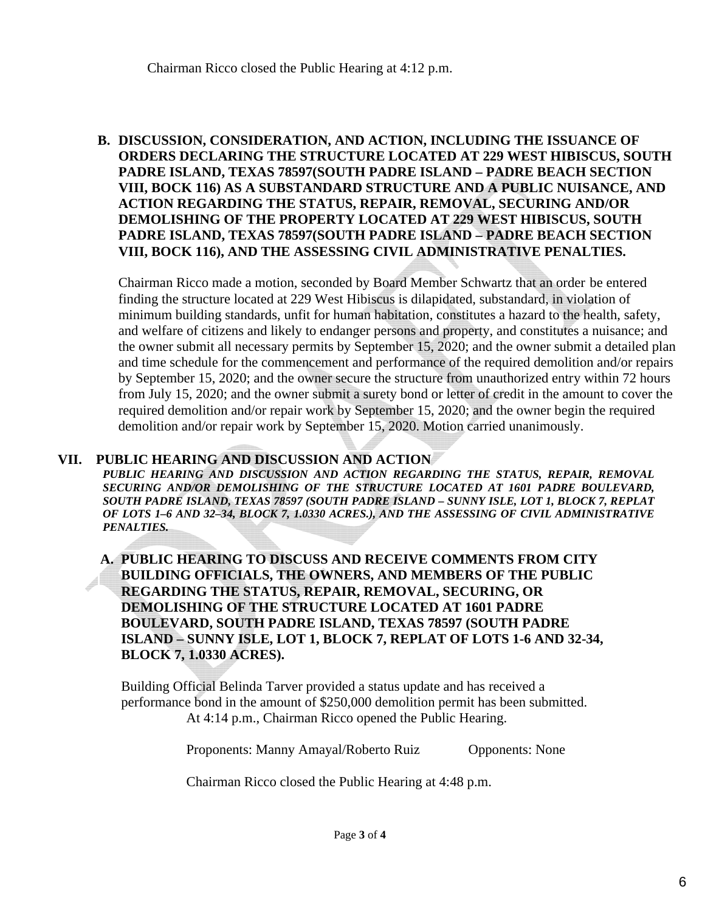Chairman Ricco closed the Public Hearing at 4:12 p.m.

### **B. DISCUSSION, CONSIDERATION, AND ACTION, INCLUDING THE ISSUANCE OF ORDERS DECLARING THE STRUCTURE LOCATED AT 229 WEST HIBISCUS, SOUTH PADRE ISLAND, TEXAS 78597(SOUTH PADRE ISLAND – PADRE BEACH SECTION VIII, BOCK 116) AS A SUBSTANDARD STRUCTURE AND A PUBLIC NUISANCE, AND ACTION REGARDING THE STATUS, REPAIR, REMOVAL, SECURING AND/OR DEMOLISHING OF THE PROPERTY LOCATED AT 229 WEST HIBISCUS, SOUTH PADRE ISLAND, TEXAS 78597(SOUTH PADRE ISLAND – PADRE BEACH SECTION VIII, BOCK 116), AND THE ASSESSING CIVIL ADMINISTRATIVE PENALTIES.**

Chairman Ricco made a motion, seconded by Board Member Schwartz that an order be entered finding the structure located at 229 West Hibiscus is dilapidated, substandard, in violation of minimum building standards, unfit for human habitation, constitutes a hazard to the health, safety, and welfare of citizens and likely to endanger persons and property, and constitutes a nuisance; and the owner submit all necessary permits by September 15, 2020; and the owner submit a detailed plan and time schedule for the commencement and performance of the required demolition and/or repairs by September 15, 2020; and the owner secure the structure from unauthorized entry within 72 hours from July 15, 2020; and the owner submit a surety bond or letter of credit in the amount to cover the required demolition and/or repair work by September 15, 2020; and the owner begin the required demolition and/or repair work by September 15, 2020. Motion carried unanimously.

### **VII. PUBLIC HEARING AND DISCUSSION AND ACTION**

PUBLIC HEARING AND DISCUSSION AND ACTION REGARDING THE STATUS, REPAIR, REMOVAL *SECURING AND/OR DEMOLISHING OF THE STRUCTURE LOCATED AT 1601 PADRE BOULEVARD, SOUTH PADRE ISLAND, TEXAS 78597 (SOUTH PADRE ISLAND – SUNNY ISLE, LOT 1, BLOCK 7, REPLAT OF LOTS 1–6 AND 32–34, BLOCK 7, 1.0330 ACRES.), AND THE ASSESSING OF CIVIL ADMINISTRATIVE PENALTIES.*

**A. PUBLIC HEARING TO DISCUSS AND RECEIVE COMMENTS FROM CITY BUILDING OFFICIALS, THE OWNERS, AND MEMBERS OF THE PUBLIC REGARDING THE STATUS, REPAIR, REMOVAL, SECURING, OR DEMOLISHING OF THE STRUCTURE LOCATED AT 1601 PADRE BOULEVARD, SOUTH PADRE ISLAND, TEXAS 78597 (SOUTH PADRE ISLAND – SUNNY ISLE, LOT 1, BLOCK 7, REPLAT OF LOTS 1-6 AND 32-34, BLOCK 7, 1.0330 ACRES).**

Building Official Belinda Tarver provided a status update and has received a performance bond in the amount of \$250,000 demolition permit has been submitted. At 4:14 p.m., Chairman Ricco opened the Public Hearing.

Proponents: Manny Amayal/Roberto Ruiz Opponents: None

Chairman Ricco closed the Public Hearing at 4:48 p.m.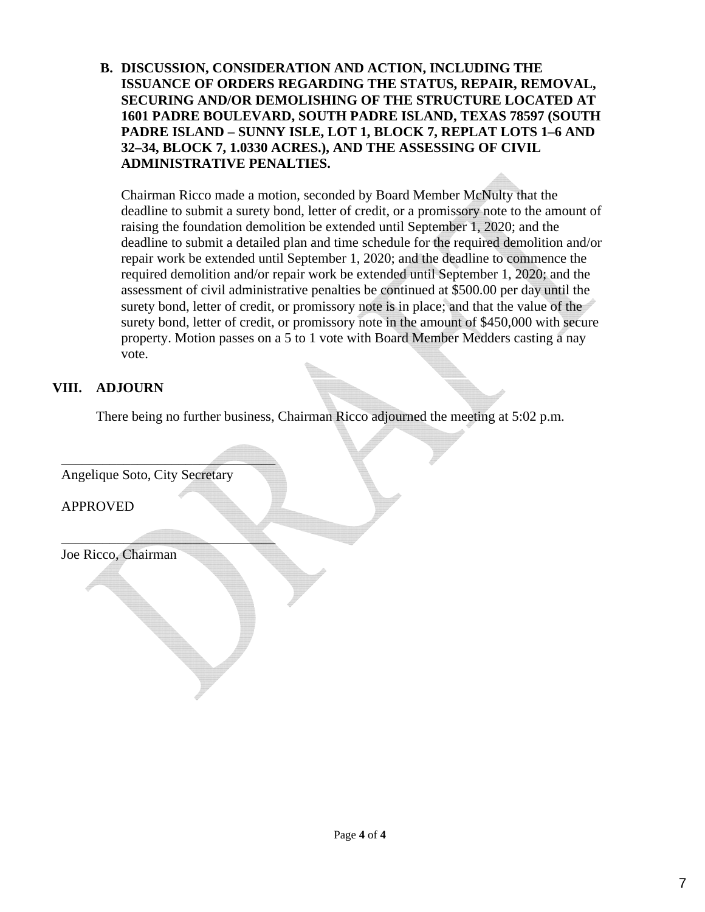**B. DISCUSSION, CONSIDERATION AND ACTION, INCLUDING THE ISSUANCE OF ORDERS REGARDING THE STATUS, REPAIR, REMOVAL, SECURING AND/OR DEMOLISHING OF THE STRUCTURE LOCATED AT 1601 PADRE BOULEVARD, SOUTH PADRE ISLAND, TEXAS 78597 (SOUTH PADRE ISLAND – SUNNY ISLE, LOT 1, BLOCK 7, REPLAT LOTS 1–6 AND 32–34, BLOCK 7, 1.0330 ACRES.), AND THE ASSESSING OF CIVIL ADMINISTRATIVE PENALTIES.**

Chairman Ricco made a motion, seconded by Board Member McNulty that the deadline to submit a surety bond, letter of credit, or a promissory note to the amount of raising the foundation demolition be extended until September 1, 2020; and the deadline to submit a detailed plan and time schedule for the required demolition and/or repair work be extended until September 1, 2020; and the deadline to commence the required demolition and/or repair work be extended until September 1, 2020; and the assessment of civil administrative penalties be continued at \$500.00 per day until the surety bond, letter of credit, or promissory note is in place; and that the value of the surety bond, letter of credit, or promissory note in the amount of \$450,000 with secure property. Motion passes on a 5 to 1 vote with Board Member Medders casting a nay vote.

# **VIII. ADJOURN**

There being no further business, Chairman Ricco adjourned the meeting at 5:02 p.m.

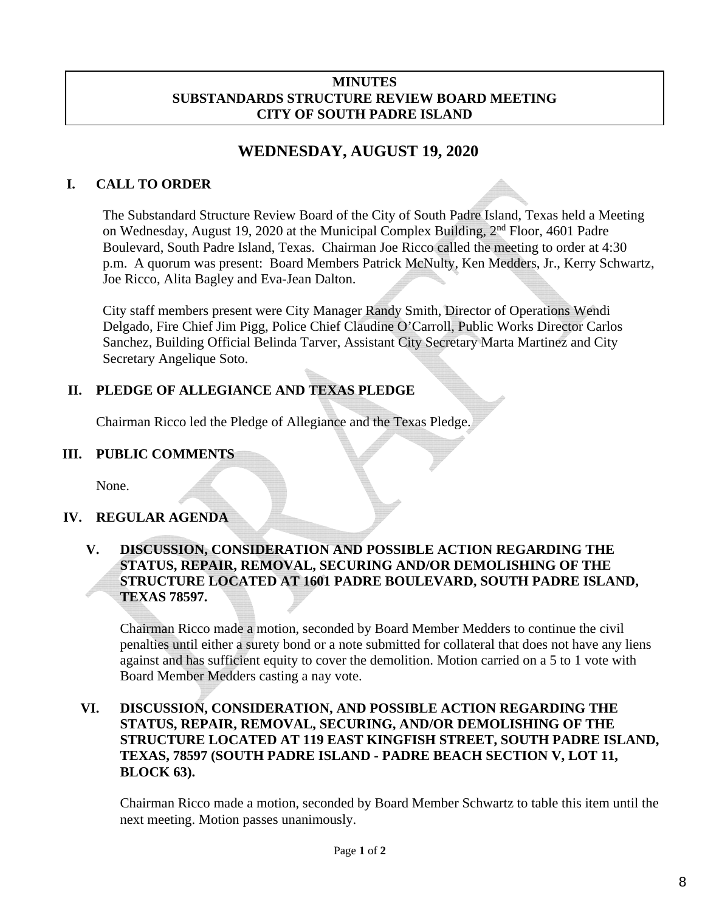### **MINUTES SUBSTANDARDS STRUCTURE REVIEW BOARD MEETING CITY OF SOUTH PADRE ISLAND**

# **WEDNESDAY, AUGUST 19, 2020**

# **I. CALL TO ORDER**

The Substandard Structure Review Board of the City of South Padre Island, Texas held a Meeting on Wednesday, August 19, 2020 at the Municipal Complex Building, 2nd Floor, 4601 Padre Boulevard, South Padre Island, Texas. Chairman Joe Ricco called the meeting to order at 4:30 p.m. A quorum was present: Board Members Patrick McNulty, Ken Medders, Jr., Kerry Schwartz, Joe Ricco, Alita Bagley and Eva-Jean Dalton.

City staff members present were City Manager Randy Smith, Director of Operations Wendi Delgado, Fire Chief Jim Pigg, Police Chief Claudine O'Carroll, Public Works Director Carlos Sanchez, Building Official Belinda Tarver, Assistant City Secretary Marta Martinez and City Secretary Angelique Soto.

# **II. PLEDGE OF ALLEGIANCE AND TEXAS PLEDGE**

Chairman Ricco led the Pledge of Allegiance and the Texas Pledge.

### **III. PUBLIC COMMENTS**

None.

# **IV. REGULAR AGENDA**

## **V. DISCUSSION, CONSIDERATION AND POSSIBLE ACTION REGARDING THE STATUS, REPAIR, REMOVAL, SECURING AND/OR DEMOLISHING OF THE STRUCTURE LOCATED AT 1601 PADRE BOULEVARD, SOUTH PADRE ISLAND, TEXAS 78597.**

Chairman Ricco made a motion, seconded by Board Member Medders to continue the civil penalties until either a surety bond or a note submitted for collateral that does not have any liens against and has sufficient equity to cover the demolition. Motion carried on a 5 to 1 vote with Board Member Medders casting a nay vote.

### **VI. DISCUSSION, CONSIDERATION, AND POSSIBLE ACTION REGARDING THE STATUS, REPAIR, REMOVAL, SECURING, AND/OR DEMOLISHING OF THE STRUCTURE LOCATED AT 119 EAST KINGFISH STREET, SOUTH PADRE ISLAND, TEXAS, 78597 (SOUTH PADRE ISLAND - PADRE BEACH SECTION V, LOT 11, BLOCK 63).**

Chairman Ricco made a motion, seconded by Board Member Schwartz to table this item until the next meeting. Motion passes unanimously.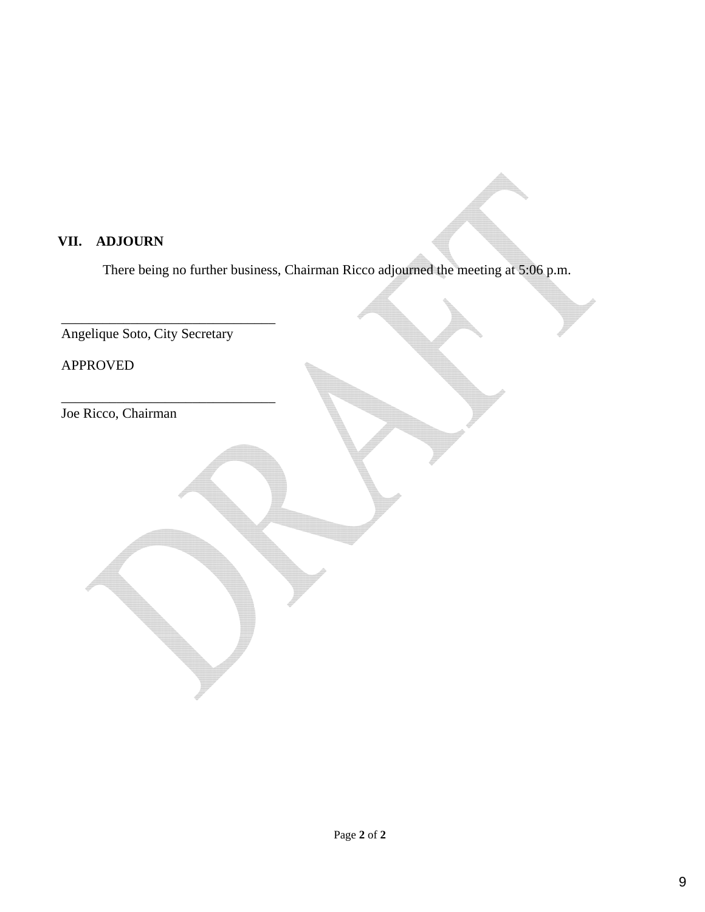# **VII. ADJOURN**

There being no further business, Chairman Ricco adjourned the meeting at 5:06 p.m.

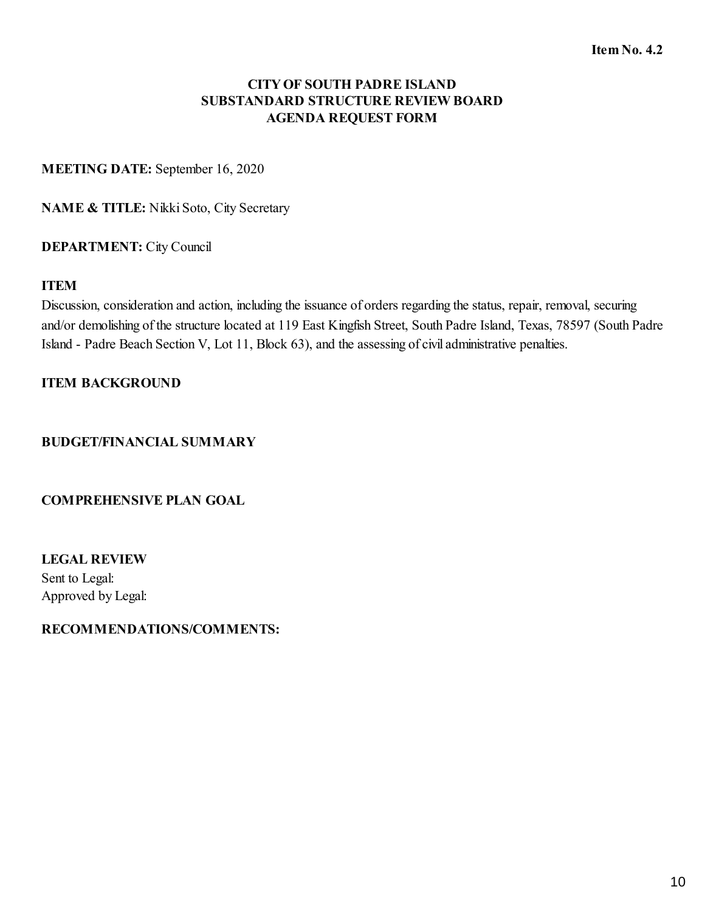**MEETING DATE:** September 16, 2020

**NAME & TITLE:** Nikki Soto, City Secretary

### **DEPARTMENT:** City Council

### **ITEM**

Discussion, consideration and action, including the issuance of orders regarding the status, repair, removal, securing and/or demolishing of the structure located at 119 East Kingfish Street, South Padre Island, Texas, 78597 (South Padre Island - Padre Beach Section V, Lot 11, Block 63), and the assessing of civil administrative penalties.

### **ITEM BACKGROUND**

### **BUDGET/FINANCIAL SUMMARY**

#### **COMPREHENSIVE PLAN GOAL**

**LEGAL REVIEW** Sent to Legal: Approved by Legal: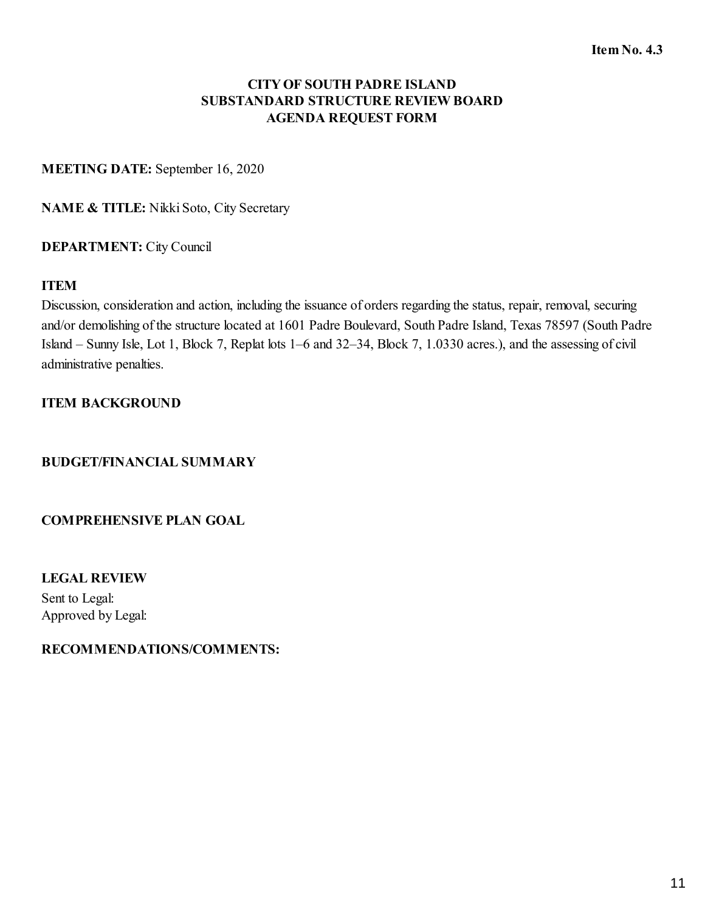### **MEETING DATE:** September 16, 2020

**NAME & TITLE:** Nikki Soto, City Secretary

### **DEPARTMENT:** City Council

### **ITEM**

Discussion, consideration and action, including the issuance of orders regarding the status, repair, removal, securing and/or demolishing of the structure located at 1601 Padre Boulevard, South Padre Island, Texas 78597 (South Padre Island – Sunny Isle, Lot 1, Block 7, Replat lots 1–6 and 32–34, Block 7, 1.0330 acres.), and the assessing of civil administrative penalties.

### **ITEM BACKGROUND**

### **BUDGET/FINANCIAL SUMMARY**

#### **COMPREHENSIVE PLAN GOAL**

**LEGAL REVIEW** Sent to Legal: Approved by Legal: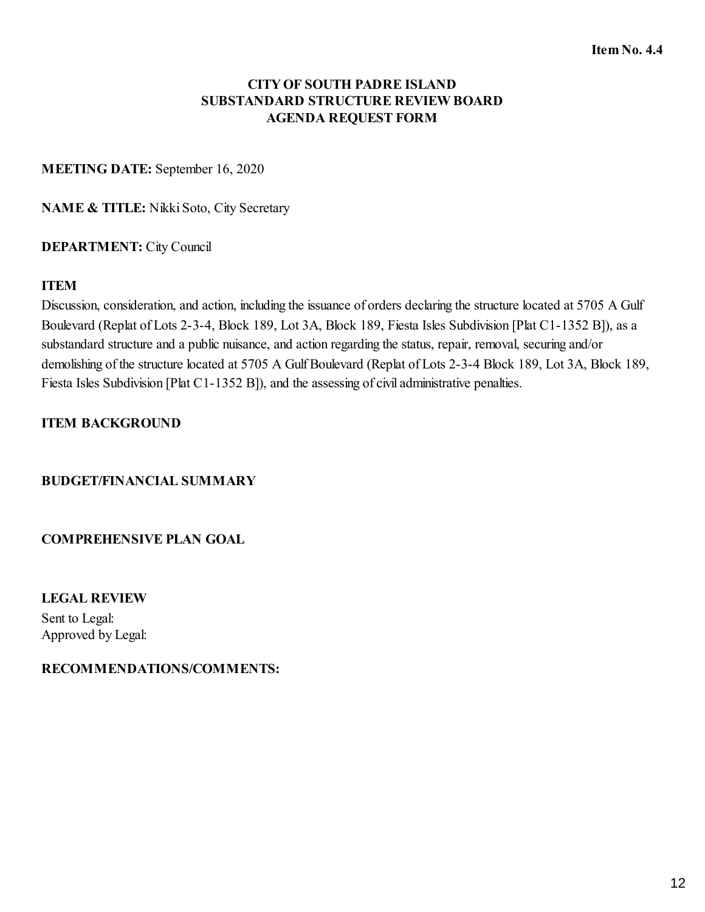**MEETING DATE:** September 16, 2020

**NAME & TITLE:** Nikki Soto, City Secretary

### **DEPARTMENT:** City Council

### **ITEM**

Discussion, consideration, and action, including the issuance of orders declaring the structure located at 5705 A Gulf Boulevard (Replat of Lots 2-3-4, Block 189, Lot 3A, Block 189, Fiesta Isles Subdivision [Plat C1-1352 B]), as a substandard structure and a public nuisance, and action regarding the status, repair, removal, securing and/or demolishing of the structure located at 5705 A Gulf Boulevard (Replat of Lots 2-3-4 Block 189, Lot 3A, Block 189, Fiesta Isles Subdivision [Plat C1-1352 B]), and the assessing of civil administrative penalties.

### **ITEM BACKGROUND**

### **BUDGET/FINANCIAL SUMMARY**

### **COMPREHENSIVE PLAN GOAL**

**LEGAL REVIEW**

Sent to Legal: Approved by Legal: